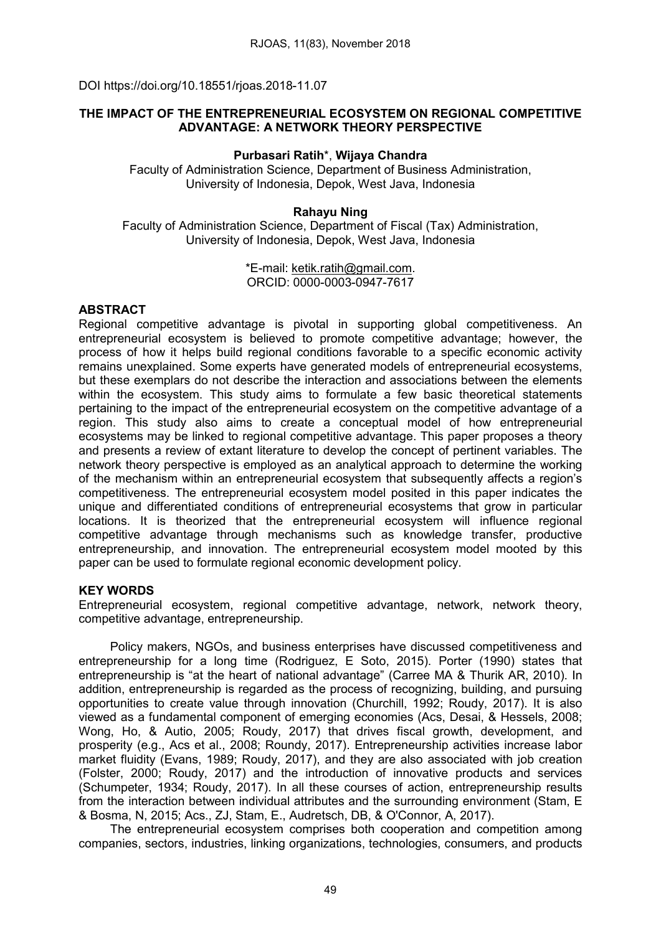DOI https://doi.org/10.18551/rjoas.2018-11.07

# THE IMPACT OF THE ENTREPRENEURIAL ECOSYSTEM ON REGIONAL COMPETITIVE ADVANTAGE: A NETWORK THEORY PERSPECTIVE

### Purbasari Ratih\*, Wijaya Chandra

Faculty of Administration Science, Department of Business Administration, University of Indonesia, Depok, West Java, Indonesia

### Rahayu Ning

Faculty of Administration Science, Department of Fiscal (Tax) Administration, University of Indonesia, Depok, West Java, Indonesia

> \*E-mail: [ketik.ratih@gmail.com.](mailto:ketik.ratih@gmail.com) ORCID: 0000-0003-0947-7617

### **ABSTRACT**

Regional competitive advantage is pivotal in supporting global competitiveness. An entrepreneurial ecosystem is believed to promote competitive advantage; however, the process of how it helps build regional conditions favorable to a specific economic activity remains unexplained. Some experts have generated models of entrepreneurial ecosystems, but these exemplars do not describe the interaction and associations between the elements within the ecosystem. This study aims to formulate a few basic theoretical statements pertaining to the impact of the entrepreneurial ecosystem on the competitive advantage of a region. This study also aims to create a conceptual model of how entrepreneurial ecosystems may be linked to regional competitive advantage. This paper proposes a theory and presents a review of extant literature to develop the concept of pertinent variables. The network theory perspective is employed as an analytical approach to determine the working of the mechanism within an entrepreneurial ecosystem that subsequently affects a region's competitiveness. The entrepreneurial ecosystem model posited in this paper indicates the unique and differentiated conditions of entrepreneurial ecosystems that grow in particular locations. It is theorized that the entrepreneurial ecosystem will influence regional competitive advantage through mechanisms such as knowledge transfer, productive entrepreneurship, and innovation. The entrepreneurial ecosystem model mooted by this paper can be used to formulate regional economic development policy.

# KEY WORDS

Entrepreneurial ecosystem, regional competitive advantage, network, network theory, competitive advantage, entrepreneurship.

Policy makers, NGOs, and business enterprises have discussed competitiveness and entrepreneurship for a long time (Rodriguez, E Soto, 2015). Porter (1990) states that entrepreneurship is "at the heart of national advantage" (Carree MA & Thurik AR, 2010). In addition, entrepreneurship is regarded as the process of recognizing, building, and pursuing opportunities to create value through innovation (Churchill, 1992; Roudy, 2017). It is also viewed as a fundamental component of emerging economies (Acs, Desai, & Hessels, 2008; Wong, Ho, & Autio, 2005; Roudy, 2017) that drives fiscal growth, development, and prosperity (e.g., Acs et al., 2008; Roundy, 2017). Entrepreneurship activities increase labor market fluidity (Evans, 1989; Roudy, 2017), and they are also associated with job creation (Folster, 2000; Roudy, 2017) and the introduction of innovative products and services (Schumpeter, 1934; Roudy, 2017). In all these courses of action, entrepreneurship results from the interaction between individual attributes and the surrounding environment (Stam, E & Bosma, N, 2015; Acs., ZJ, Stam, E., Audretsch, DB, & O'Connor, A, 2017).

The entrepreneurial ecosystem comprises both cooperation and competition among companies, sectors, industries, linking organizations, technologies, consumers, and products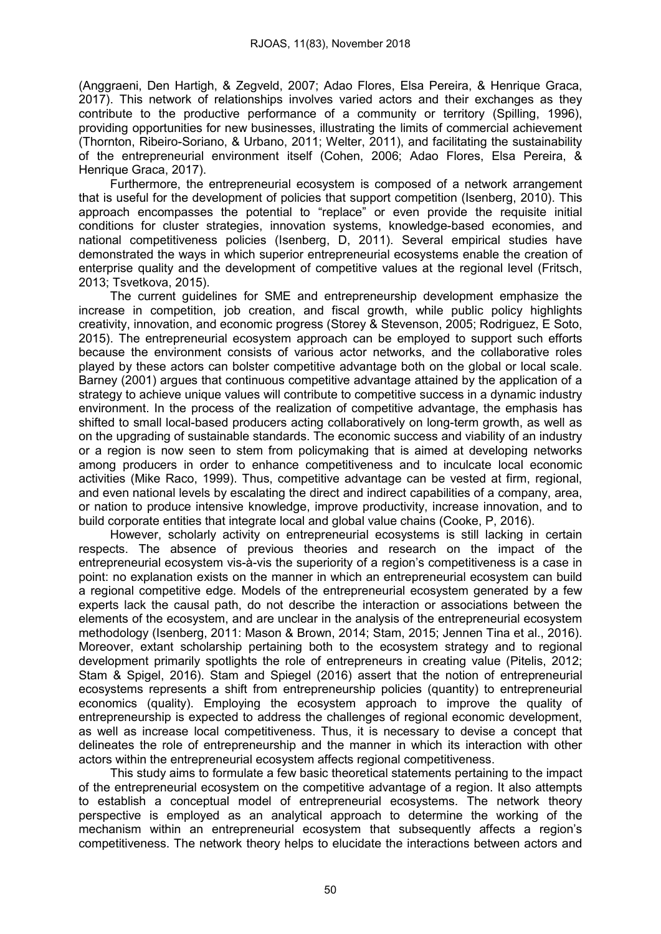(Anggraeni, Den Hartigh, & Zegveld, 2007; Adao Flores, Elsa Pereira, & Henrique Graca, 2017). This network of relationships involves varied actors and their exchanges as they contribute to the productive performance of a community or territory (Spilling, 1996), providing opportunities for new businesses, illustrating the limits of commercial achievement (Thornton, Ribeiro-Soriano, & Urbano, 2011; Welter, 2011), and facilitating the sustainability of the entrepreneurial environment itself (Cohen, 2006; Adao Flores, Elsa Pereira, & Henrique Graca, 2017).

Furthermore, the entrepreneurial ecosystem is composed of a network arrangement that is useful for the development of policies that support competition (Isenberg, 2010). This approach encompasses the potential to "replace" or even provide the requisite initial conditions for cluster strategies, innovation systems, knowledge-based economies, and national competitiveness policies (Isenberg, D, 2011). Several empirical studies have demonstrated the ways in which superior entrepreneurial ecosystems enable the creation of enterprise quality and the development of competitive values at the regional level (Fritsch, 2013; Tsvetkova, 2015).

The current guidelines for SME and entrepreneurship development emphasize the increase in competition, job creation, and fiscal growth, while public policy highlights creativity, innovation, and economic progress (Storey & Stevenson, 2005; Rodriguez, E Soto, 2015). The entrepreneurial ecosystem approach can be employed to support such efforts because the environment consists of various actor networks, and the collaborative roles played by these actors can bolster competitive advantage both on the global or local scale. Barney (2001) argues that continuous competitive advantage attained by the application of a strategy to achieve unique values will contribute to competitive success in a dynamic industry environment. In the process of the realization of competitive advantage, the emphasis has shifted to small local-based producers acting collaboratively on long-term growth, as well as on the upgrading of sustainable standards. The economic success and viability of an industry or a region is now seen to stem from policymaking that is aimed at developing networks among producers in order to enhance competitiveness and to inculcate local economic activities (Mike Raco, 1999). Thus, competitive advantage can be vested at firm, regional, and even national levels by escalating the direct and indirect capabilities of a company, area, or nation to produce intensive knowledge, improve productivity, increase innovation, and to build corporate entities that integrate local and global value chains (Cooke, P, 2016).

However, scholarly activity on entrepreneurial ecosystems is still lacking in certain respects. The absence of previous theories and research on the impact of the entrepreneurial ecosystem vis-à-vis the superiority of a region's competitiveness is a case in point: no explanation exists on the manner in which an entrepreneurial ecosystem can build a regional competitive edge. Models of the entrepreneurial ecosystem generated by a few experts lack the causal path, do not describe the interaction or associations between the elements of the ecosystem, and are unclear in the analysis of the entrepreneurial ecosystem methodology (Isenberg, 2011: Mason & Brown, 2014; Stam, 2015; Jennen Tina et al., 2016). Moreover, extant scholarship pertaining both to the ecosystem strategy and to regional development primarily spotlights the role of entrepreneurs in creating value (Pitelis, 2012; Stam & Spigel, 2016). Stam and Spiegel (2016) assert that the notion of entrepreneurial ecosystems represents a shift from entrepreneurship policies (quantity) to entrepreneurial economics (quality). Employing the ecosystem approach to improve the quality of entrepreneurship is expected to address the challenges of regional economic development, as well as increase local competitiveness. Thus, it is necessary to devise a concept that delineates the role of entrepreneurship and the manner in which its interaction with other actors within the entrepreneurial ecosystem affects regional competitiveness.

This study aims to formulate a few basic theoretical statements pertaining to the impact of the entrepreneurial ecosystem on the competitive advantage of a region. It also attempts to establish a conceptual model of entrepreneurial ecosystems. The network theory perspective is employed as an analytical approach to determine the working of the mechanism within an entrepreneurial ecosystem that subsequently affects a region's competitiveness. The network theory helps to elucidate the interactions between actors and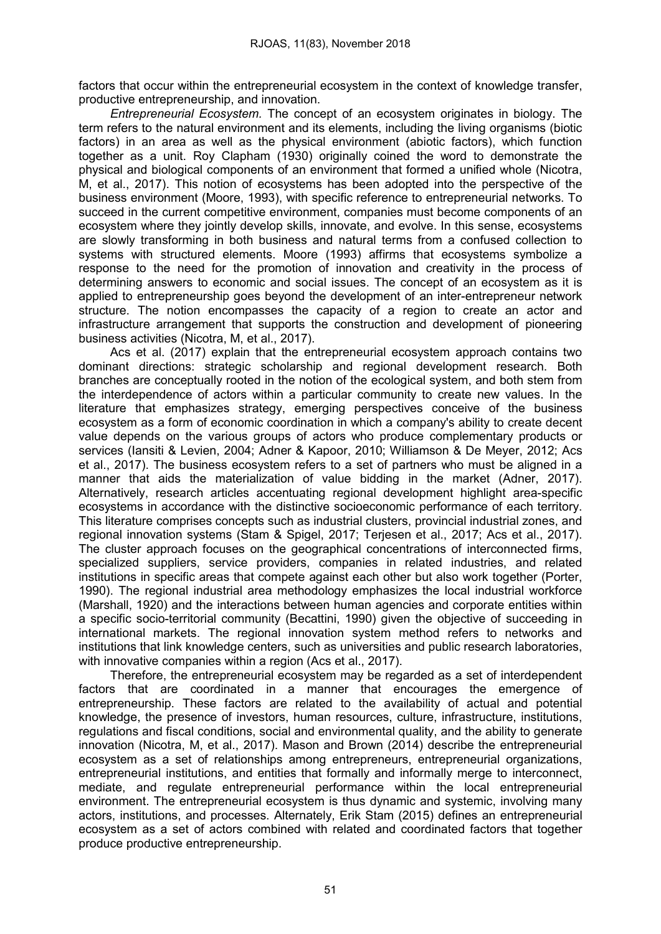factors that occur within the entrepreneurial ecosystem in the context of knowledge transfer, productive entrepreneurship, and innovation.

*Entrepreneurial Ecosystem.* The concept of an ecosystem originates in biology. The term refers to the natural environment and its elements, including the living organisms (biotic factors) in an area as well as the physical environment (abiotic factors), which function together as a unit. Roy Clapham (1930) originally coined the word to demonstrate the physical and biological components of an environment that formed a unified whole (Nicotra, M, et al., 2017). This notion of ecosystems has been adopted into the perspective of the business environment (Moore, 1993), with specific reference to entrepreneurial networks. To succeed in the current competitive environment, companies must become components of an ecosystem where they jointly develop skills, innovate, and evolve. In this sense, ecosystems are slowly transforming in both business and natural terms from a confused collection to systems with structured elements. Moore (1993) affirms that ecosystems symbolize a response to the need for the promotion of innovation and creativity in the process of determining answers to economic and social issues. The concept of an ecosystem as it is applied to entrepreneurship goes beyond the development of an inter-entrepreneur network structure. The notion encompasses the capacity of a region to create an actor and infrastructure arrangement that supports the construction and development of pioneering business activities (Nicotra, M, et al., 2017).

Acs et al. (2017) explain that the entrepreneurial ecosystem approach contains two dominant directions: strategic scholarship and regional development research. Both branches are conceptually rooted in the notion of the ecological system, and both stem from the interdependence of actors within a particular community to create new values. In the literature that emphasizes strategy, emerging perspectives conceive of the business ecosystem as a form of economic coordination in which a company's ability to create decent value depends on the various groups of actors who produce complementary products or services (Iansiti & Levien, 2004; Adner & Kapoor, 2010; Williamson & De Meyer, 2012; Acs et al., 2017). The business ecosystem refers to a set of partners who must be aligned in a manner that aids the materialization of value bidding in the market (Adner, 2017). Alternatively, research articles accentuating regional development highlight area-specific ecosystems in accordance with the distinctive socioeconomic performance of each territory. This literature comprises concepts such as industrial clusters, provincial industrial zones, and regional innovation systems (Stam & Spigel, 2017; Terjesen et al., 2017; Acs et al., 2017). The cluster approach focuses on the geographical concentrations of interconnected firms, specialized suppliers, service providers, companies in related industries, and related institutions in specific areas that compete against each other but also work together (Porter, 1990). The regional industrial area methodology emphasizes the local industrial workforce (Marshall, 1920) and the interactions between human agencies and corporate entities within a specific socio-territorial community (Becattini, 1990) given the objective of succeeding in international markets. The regional innovation system method refers to networks and institutions that link knowledge centers, such as universities and public research laboratories, with innovative companies within a region (Acs et al., 2017).

Therefore, the entrepreneurial ecosystem may be regarded as a set of interdependent factors that are coordinated in a manner that encourages the emergence of entrepreneurship. These factors are related to the availability of actual and potential knowledge, the presence of investors, human resources, culture, infrastructure, institutions, regulations and fiscal conditions, social and environmental quality, and the ability to generate innovation (Nicotra, M, et al., 2017). Mason and Brown (2014) describe the entrepreneurial ecosystem as a set of relationships among entrepreneurs, entrepreneurial organizations, entrepreneurial institutions, and entities that formally and informally merge to interconnect, mediate, and regulate entrepreneurial performance within the local entrepreneurial environment. The entrepreneurial ecosystem is thus dynamic and systemic, involving many actors, institutions, and processes. Alternately, Erik Stam (2015) defines an entrepreneurial ecosystem as a set of actors combined with related and coordinated factors that together produce productive entrepreneurship.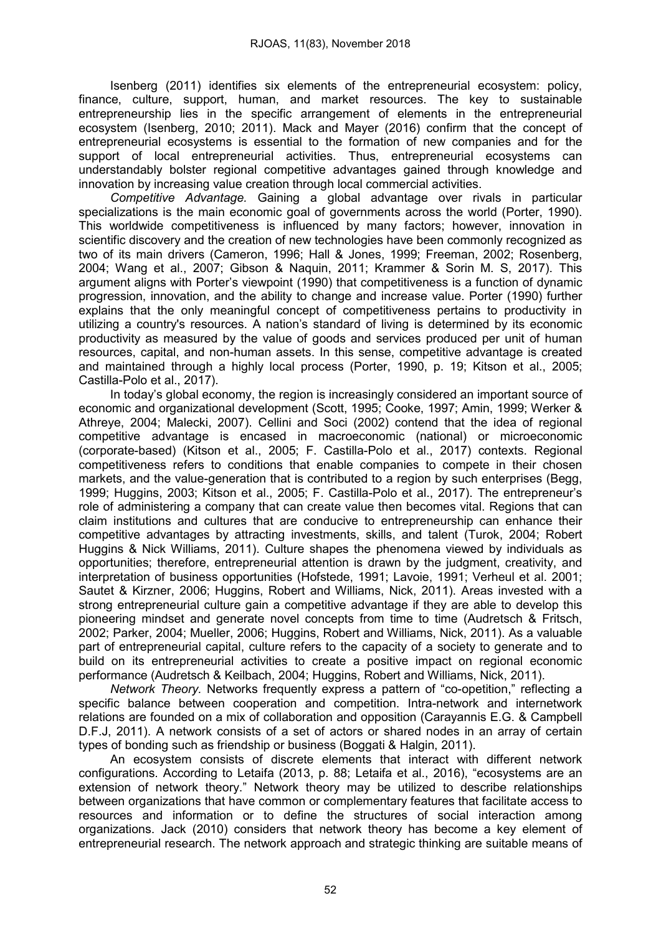Isenberg (2011) identifies six elements of the entrepreneurial ecosystem: policy, finance, culture, support, human, and market resources. The key to sustainable entrepreneurship lies in the specific arrangement of elements in the entrepreneurial ecosystem (Isenberg, 2010; 2011). Mack and Mayer (2016) confirm that the concept of entrepreneurial ecosystems is essential to the formation of new companies and for the support of local entrepreneurial activities. Thus, entrepreneurial ecosystems can understandably bolster regional competitive advantages gained through knowledge and innovation by increasing value creation through local commercial activities.

*Competitive Advantage.* Gaining a global advantage over rivals in particular specializations is the main economic goal of governments across the world (Porter, 1990). This worldwide competitiveness is influenced by many factors; however, innovation in scientific discovery and the creation of new technologies have been commonly recognized as two of its main drivers (Cameron, 1996; Hall & Jones, 1999; Freeman, 2002; Rosenberg, 2004; Wang et al., 2007; Gibson & Naquin, 2011; Krammer & Sorin M. S, 2017). This argument aligns with Porter's viewpoint (1990) that competitiveness is a function of dynamic progression, innovation, and the ability to change and increase value. Porter (1990) further explains that the only meaningful concept of competitiveness pertains to productivity in utilizing a country's resources. A nation's standard of living is determined by its economic productivity as measured by the value of goods and services produced per unit of human resources, capital, and non-human assets. In this sense, competitive advantage is created and maintained through a highly local process (Porter, 1990, p. 19; Kitson et al., 2005; Castilla-Polo et al., 2017).

In today's global economy, the region is increasingly considered an important source of economic and organizational development (Scott, 1995; Cooke, 1997; Amin, 1999; Werker & Athreye, 2004; Malecki, 2007). Cellini and Soci (2002) contend that the idea of regional competitive advantage is encased in macroeconomic (national) or microeconomic (corporate-based) (Kitson et al., 2005; F. Castilla-Polo et al., 2017) contexts. Regional competitiveness refers to conditions that enable companies to compete in their chosen markets, and the value-generation that is contributed to a region by such enterprises (Begg, 1999; Huggins, 2003; Kitson et al., 2005; F. Castilla-Polo et al., 2017). The entrepreneur's role of administering a company that can create value then becomes vital. Regions that can claim institutions and cultures that are conducive to entrepreneurship can enhance their competitive advantages by attracting investments, skills, and talent (Turok, 2004; Robert Huggins & Nick Williams, 2011). Culture shapes the phenomena viewed by individuals as opportunities; therefore, entrepreneurial attention is drawn by the judgment, creativity, and interpretation of business opportunities (Hofstede, 1991; Lavoie, 1991; Verheul et al. 2001; Sautet & Kirzner, 2006; Huggins, Robert and Williams, Nick, 2011). Areas invested with a strong entrepreneurial culture gain a competitive advantage if they are able to develop this pioneering mindset and generate novel concepts from time to time (Audretsch & Fritsch, 2002; Parker, 2004; Mueller, 2006; Huggins, Robert and Williams, Nick, 2011). As a valuable part of entrepreneurial capital, culture refers to the capacity of a society to generate and to build on its entrepreneurial activities to create a positive impact on regional economic performance (Audretsch & Keilbach, 2004; Huggins, Robert and Williams, Nick, 2011).

*Network Theory.* Networks frequently express a pattern of "co-opetition," reflecting a specific balance between cooperation and competition. Intra-network and internetwork relations are founded on a mix of collaboration and opposition (Carayannis E.G. & Campbell D.F.J, 2011). A network consists of a set of actors or shared nodes in an array of certain types of bonding such as friendship or business (Boggati & Halgin, 2011).

An ecosystem consists of discrete elements that interact with different network configurations. According to Letaifa (2013, p. 88; Letaifa et al., 2016), "ecosystems are an extension of network theory." Network theory may be utilized to describe relationships between organizations that have common or complementary features that facilitate access to resources and information or to define the structures of social interaction among organizations. Jack (2010) considers that network theory has become a key element of entrepreneurial research. The network approach and strategic thinking are suitable means of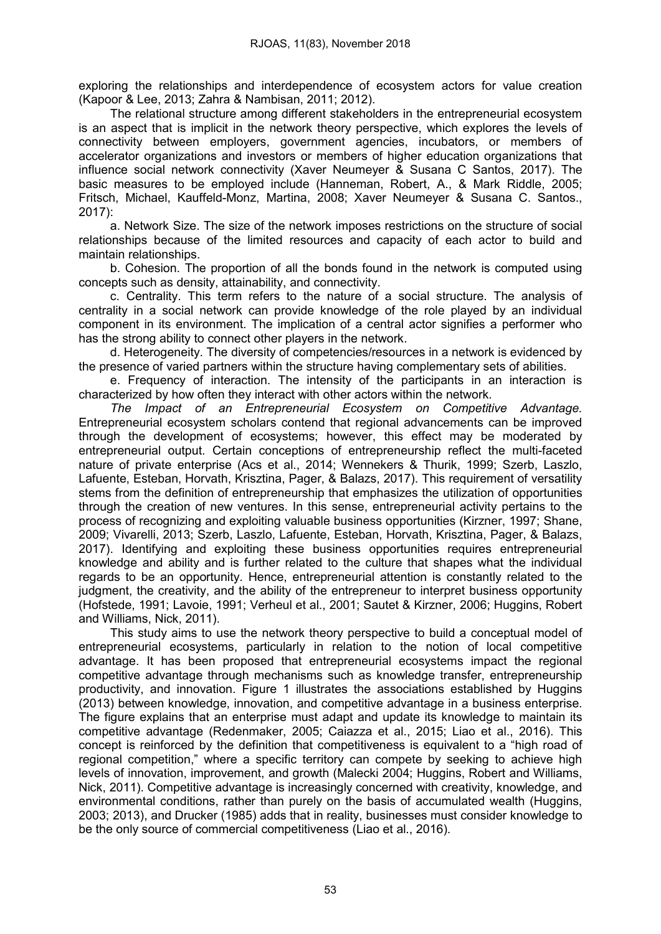exploring the relationships and interdependence of ecosystem actors for value creation (Kapoor & Lee, 2013; Zahra & Nambisan, 2011; 2012).

The relational structure among different stakeholders in the entrepreneurial ecosystem is an aspect that is implicit in the network theory perspective, which explores the levels of connectivity between employers, government agencies, incubators, or members of accelerator organizations and investors or members of higher education organizations that influence social network connectivity (Xaver Neumeyer & Susana C Santos, 2017). The basic measures to be employed include (Hanneman, Robert, A., & Mark Riddle, 2005; Fritsch, Michael, Kauffeld-Monz, Martina, 2008; Xaver Neumeyer & Susana C. Santos., 2017):

a. Network Size. The size of the network imposes restrictions on the structure of social relationships because of the limited resources and capacity of each actor to build and maintain relationships.

b. Cohesion. The proportion of all the bonds found in the network is computed using concepts such as density, attainability, and connectivity.

c. Centrality. This term refers to the nature of a social structure. The analysis of centrality in a social network can provide knowledge of the role played by an individual component in its environment. The implication of a central actor signifies a performer who has the strong ability to connect other players in the network.

d. Heterogeneity. The diversity of competencies/resources in a network is evidenced by the presence of varied partners within the structure having complementary sets of abilities.

e. Frequency of interaction. The intensity of the participants in an interaction is characterized by how often they interact with other actors within the network.

*The Impact of an Entrepreneurial Ecosystem on Competitive Advantage.*  Entrepreneurial ecosystem scholars contend that regional advancements can be improved through the development of ecosystems; however, this effect may be moderated by entrepreneurial output. Certain conceptions of entrepreneurship reflect the multi-faceted nature of private enterprise (Acs et al., 2014; Wennekers & Thurik, 1999; Szerb, Laszlo, Lafuente, Esteban, Horvath, Krisztina, Pager, & Balazs, 2017). This requirement of versatility stems from the definition of entrepreneurship that emphasizes the utilization of opportunities through the creation of new ventures. In this sense, entrepreneurial activity pertains to the process of recognizing and exploiting valuable business opportunities (Kirzner, 1997; Shane, 2009; Vivarelli, 2013; Szerb, Laszlo, Lafuente, Esteban, Horvath, Krisztina, Pager, & Balazs, 2017). Identifying and exploiting these business opportunities requires entrepreneurial knowledge and ability and is further related to the culture that shapes what the individual regards to be an opportunity. Hence, entrepreneurial attention is constantly related to the judgment, the creativity, and the ability of the entrepreneur to interpret business opportunity (Hofstede, 1991; Lavoie, 1991; Verheul et al., 2001; Sautet & Kirzner, 2006; Huggins, Robert and Williams, Nick, 2011).

This study aims to use the network theory perspective to build a conceptual model of entrepreneurial ecosystems, particularly in relation to the notion of local competitive advantage. It has been proposed that entrepreneurial ecosystems impact the regional competitive advantage through mechanisms such as knowledge transfer, entrepreneurship productivity, and innovation. Figure 1 illustrates the associations established by Huggins (2013) between knowledge, innovation, and competitive advantage in a business enterprise. The figure explains that an enterprise must adapt and update its knowledge to maintain its competitive advantage (Redenmaker, 2005; Caiazza et al., 2015; Liao et al., 2016). This concept is reinforced by the definition that competitiveness is equivalent to a "high road of regional competition," where a specific territory can compete by seeking to achieve high levels of innovation, improvement, and growth (Malecki 2004; Huggins, Robert and Williams, Nick, 2011). Competitive advantage is increasingly concerned with creativity, knowledge, and environmental conditions, rather than purely on the basis of accumulated wealth (Huggins, 2003; 2013), and Drucker (1985) adds that in reality, businesses must consider knowledge to be the only source of commercial competitiveness (Liao et al., 2016).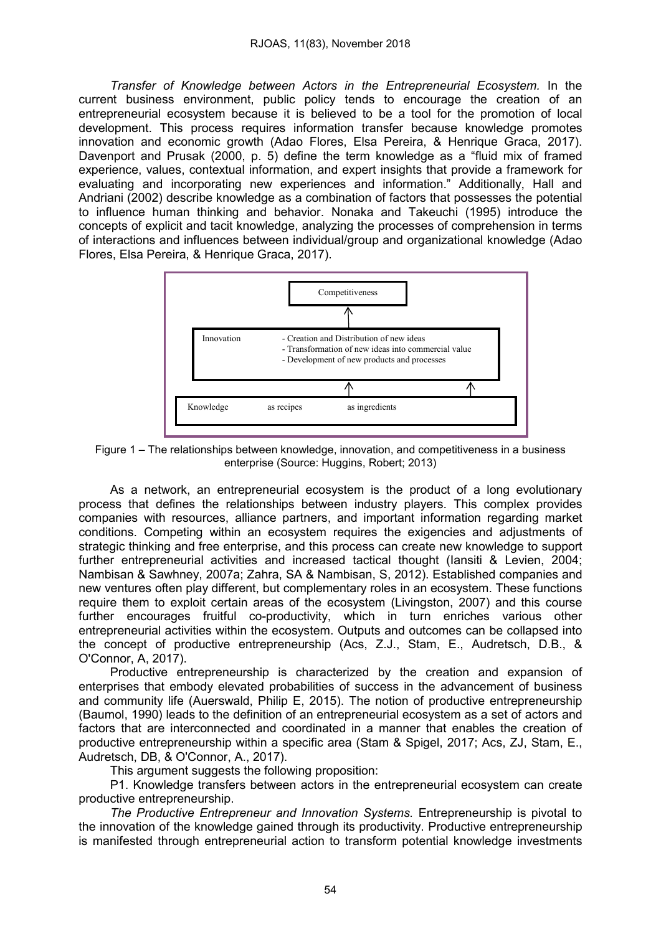*Transfer of Knowledge between Actors in the Entrepreneurial Ecosystem.* In the current business environment, public policy tends to encourage the creation of an entrepreneurial ecosystem because it is believed to be a tool for the promotion of local development. This process requires information transfer because knowledge promotes innovation and economic growth (Adao Flores, Elsa Pereira, & Henrique Graca, 2017). Davenport and Prusak (2000, p. 5) define the term knowledge as a "fluid mix of framed experience, values, contextual information, and expert insights that provide a framework for evaluating and incorporating new experiences and information." Additionally, Hall and Andriani (2002) describe knowledge as a combination of factors that possesses the potential to influence human thinking and behavior. Nonaka and Takeuchi (1995) introduce the concepts of explicit and tacit knowledge, analyzing the processes of comprehension in terms of interactions and influences between individual/group and organizational knowledge (Adao Flores, Elsa Pereira, & Henrique Graca, 2017).



Figure 1 – The relationships between knowledge, innovation, and competitiveness in a business enterprise (Source: Huggins, Robert; 2013)

As a network, an entrepreneurial ecosystem is the product of a long evolutionary process that defines the relationships between industry players. This complex provides companies with resources, alliance partners, and important information regarding market conditions. Competing within an ecosystem requires the exigencies and adjustments of strategic thinking and free enterprise, and this process can create new knowledge to support further entrepreneurial activities and increased tactical thought (Iansiti & Levien, 2004; Nambisan & Sawhney, 2007a; Zahra, SA & Nambisan, S, 2012). Established companies and new ventures often play different, but complementary roles in an ecosystem. These functions require them to exploit certain areas of the ecosystem (Livingston, 2007) and this course further encourages fruitful co-productivity, which in turn enriches various other entrepreneurial activities within the ecosystem. Outputs and outcomes can be collapsed into the concept of productive entrepreneurship (Acs, Z.J., Stam, E., Audretsch, D.B., & O'Connor, A, 2017).

Productive entrepreneurship is characterized by the creation and expansion of enterprises that embody elevated probabilities of success in the advancement of business and community life (Auerswald, Philip E, 2015). The notion of productive entrepreneurship (Baumol, 1990) leads to the definition of an entrepreneurial ecosystem as a set of actors and factors that are interconnected and coordinated in a manner that enables the creation of productive entrepreneurship within a specific area (Stam & Spigel, 2017; Acs, ZJ, Stam, E., Audretsch, DB, & O'Connor, A., 2017).

This argument suggests the following proposition:

P1. Knowledge transfers between actors in the entrepreneurial ecosystem can create productive entrepreneurship.

*The Productive Entrepreneur and Innovation Systems.* Entrepreneurship is pivotal to the innovation of the knowledge gained through its productivity. Productive entrepreneurship is manifested through entrepreneurial action to transform potential knowledge investments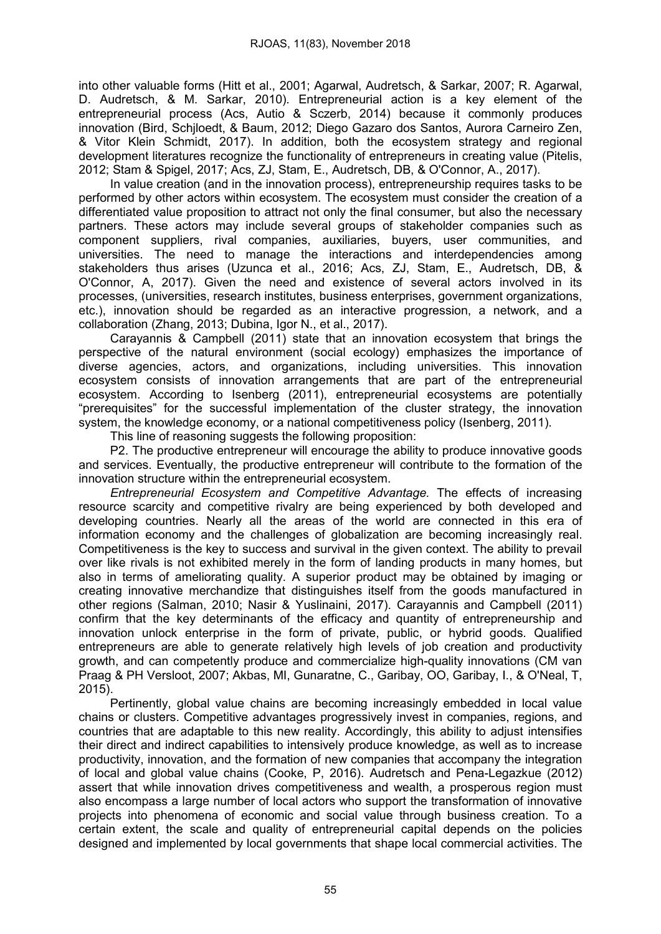into other valuable forms (Hitt et al., 2001; Agarwal, Audretsch, & Sarkar, 2007; R. Agarwal, D. Audretsch, & M. Sarkar, 2010). Entrepreneurial action is a key element of the entrepreneurial process (Acs, Autio & Sczerb, 2014) because it commonly produces innovation (Bird, Schjloedt, & Baum, 2012; Diego Gazaro dos Santos, Aurora Carneiro Zen, & Vitor Klein Schmidt, 2017). In addition, both the ecosystem strategy and regional development literatures recognize the functionality of entrepreneurs in creating value (Pitelis, 2012; Stam & Spigel, 2017; Acs, ZJ, Stam, E., Audretsch, DB, & O'Connor, A., 2017).

In value creation (and in the innovation process), entrepreneurship requires tasks to be performed by other actors within ecosystem. The ecosystem must consider the creation of a differentiated value proposition to attract not only the final consumer, but also the necessary partners. These actors may include several groups of stakeholder companies such as component suppliers, rival companies, auxiliaries, buyers, user communities, and universities. The need to manage the interactions and interdependencies among stakeholders thus arises (Uzunca et al., 2016; Acs, ZJ, Stam, E., Audretsch, DB, & O'Connor, A, 2017). Given the need and existence of several actors involved in its processes, (universities, research institutes, business enterprises, government organizations, etc.), innovation should be regarded as an interactive progression, a network, and a collaboration (Zhang, 2013; Dubina, Igor N., et al., 2017).

Carayannis & Campbell (2011) state that an innovation ecosystem that brings the perspective of the natural environment (social ecology) emphasizes the importance of diverse agencies, actors, and organizations, including universities. This innovation ecosystem consists of innovation arrangements that are part of the entrepreneurial ecosystem. According to Isenberg (2011), entrepreneurial ecosystems are potentially "prerequisites" for the successful implementation of the cluster strategy, the innovation system, the knowledge economy, or a national competitiveness policy (Isenberg, 2011).

This line of reasoning suggests the following proposition:

P2. The productive entrepreneur will encourage the ability to produce innovative goods and services. Eventually, the productive entrepreneur will contribute to the formation of the innovation structure within the entrepreneurial ecosystem.

*Entrepreneurial Ecosystem and Competitive Advantage.* The effects of increasing resource scarcity and competitive rivalry are being experienced by both developed and developing countries. Nearly all the areas of the world are connected in this era of information economy and the challenges of globalization are becoming increasingly real. Competitiveness is the key to success and survival in the given context. The ability to prevail over like rivals is not exhibited merely in the form of landing products in many homes, but also in terms of ameliorating quality. A superior product may be obtained by imaging or creating innovative merchandize that distinguishes itself from the goods manufactured in other regions (Salman, 2010; Nasir & Yuslinaini, 2017). Carayannis and Campbell (2011) confirm that the key determinants of the efficacy and quantity of entrepreneurship and innovation unlock enterprise in the form of private, public, or hybrid goods. Qualified entrepreneurs are able to generate relatively high levels of job creation and productivity growth, and can competently produce and commercialize high-quality innovations (CM van Praag & PH Versloot, 2007; Akbas, MI, Gunaratne, C., Garibay, OO, Garibay, I., & O'Neal, T, 2015).

Pertinently, global value chains are becoming increasingly embedded in local value chains or clusters. Competitive advantages progressively invest in companies, regions, and countries that are adaptable to this new reality. Accordingly, this ability to adjust intensifies their direct and indirect capabilities to intensively produce knowledge, as well as to increase productivity, innovation, and the formation of new companies that accompany the integration of local and global value chains (Cooke, P, 2016). Audretsch and Pena-Legazkue (2012) assert that while innovation drives competitiveness and wealth, a prosperous region must also encompass a large number of local actors who support the transformation of innovative projects into phenomena of economic and social value through business creation. To a certain extent, the scale and quality of entrepreneurial capital depends on the policies designed and implemented by local governments that shape local commercial activities. The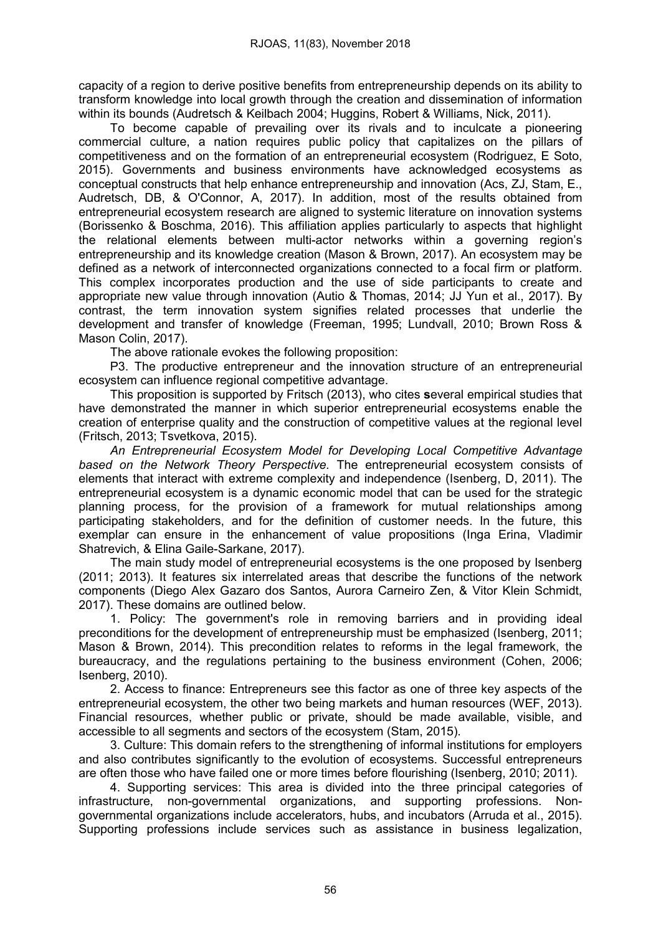capacity of a region to derive positive benefits from entrepreneurship depends on its ability to transform knowledge into local growth through the creation and dissemination of information within its bounds (Audretsch & Keilbach 2004; Huggins, Robert & Williams, Nick, 2011).

To become capable of prevailing over its rivals and to inculcate a pioneering commercial culture, a nation requires public policy that capitalizes on the pillars of competitiveness and on the formation of an entrepreneurial ecosystem (Rodriguez, E Soto, 2015). Governments and business environments have acknowledged ecosystems as conceptual constructs that help enhance entrepreneurship and innovation (Acs, ZJ, Stam, E., Audretsch, DB, & O'Connor, A, 2017). In addition, most of the results obtained from entrepreneurial ecosystem research are aligned to systemic literature on innovation systems (Borissenko & Boschma, 2016). This affiliation applies particularly to aspects that highlight the relational elements between multi-actor networks within a governing region's entrepreneurship and its knowledge creation (Mason & Brown, 2017). An ecosystem may be defined as a network of interconnected organizations connected to a focal firm or platform. This complex incorporates production and the use of side participants to create and appropriate new value through innovation (Autio & Thomas, 2014; JJ Yun et al., 2017). By contrast, the term innovation system signifies related processes that underlie the development and transfer of knowledge (Freeman, 1995; Lundvall, 2010; Brown Ross & Mason Colin, 2017).

The above rationale evokes the following proposition:

P3. The productive entrepreneur and the innovation structure of an entrepreneurial ecosystem can influence regional competitive advantage.

This proposition is supported by Fritsch (2013), who cites several empirical studies that have demonstrated the manner in which superior entrepreneurial ecosystems enable the creation of enterprise quality and the construction of competitive values at the regional level (Fritsch, 2013; Tsvetkova, 2015).

*An Entrepreneurial Ecosystem Model for Developing Local Competitive Advantage based on the Network Theory Perspective.* The entrepreneurial ecosystem consists of elements that interact with extreme complexity and independence (Isenberg, D, 2011). The entrepreneurial ecosystem is a dynamic economic model that can be used for the strategic planning process, for the provision of a framework for mutual relationships among participating stakeholders, and for the definition of customer needs. In the future, this exemplar can ensure in the enhancement of value propositions (Inga Erina, Vladimir Shatrevich, & Elina Gaile-Sarkane, 2017).

The main study model of entrepreneurial ecosystems is the one proposed by Isenberg (2011; 2013). It features six interrelated areas that describe the functions of the network components (Diego Alex Gazaro dos Santos, Aurora Carneiro Zen, & Vitor Klein Schmidt, 2017). These domains are outlined below.

1. Policy: The government's role in removing barriers and in providing ideal preconditions for the development of entrepreneurship must be emphasized (Isenberg, 2011; Mason & Brown, 2014). This precondition relates to reforms in the legal framework, the bureaucracy, and the regulations pertaining to the business environment (Cohen, 2006; Isenberg, 2010).

2. Access to finance: Entrepreneurs see this factor as one of three key aspects of the entrepreneurial ecosystem, the other two being markets and human resources (WEF, 2013). Financial resources, whether public or private, should be made available, visible, and accessible to all segments and sectors of the ecosystem (Stam, 2015).

3. Culture: This domain refers to the strengthening of informal institutions for employers and also contributes significantly to the evolution of ecosystems. Successful entrepreneurs are often those who have failed one or more times before flourishing (Isenberg, 2010; 2011).

4. Supporting services: This area is divided into the three principal categories of infrastructure, non-governmental organizations, and supporting professions. Nongovernmental organizations include accelerators, hubs, and incubators (Arruda et al., 2015). Supporting professions include services such as assistance in business legalization,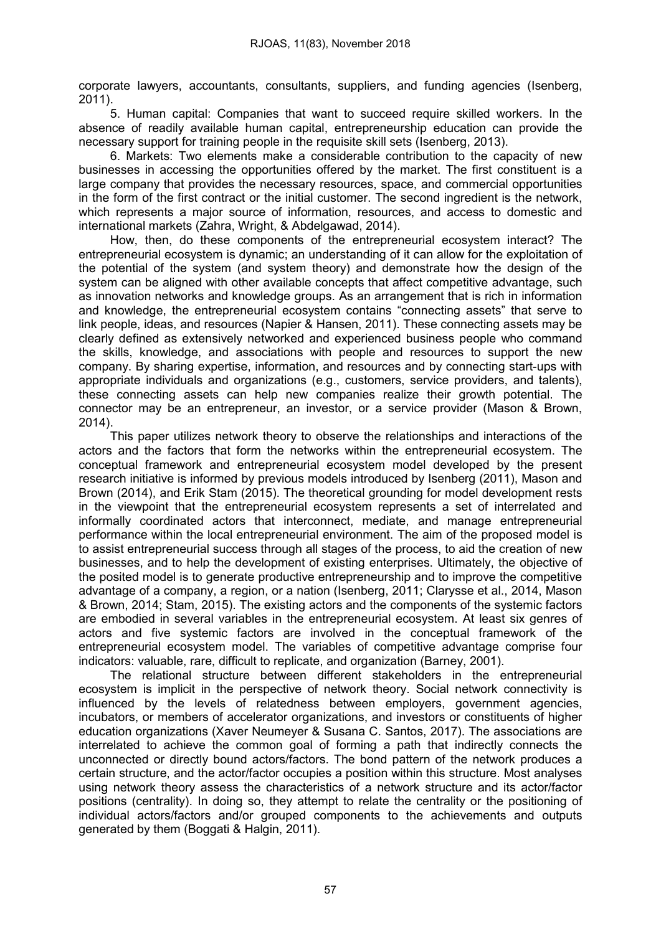corporate lawyers, accountants, consultants, suppliers, and funding agencies (Isenberg, 2011).

5. Human capital: Companies that want to succeed require skilled workers. In the absence of readily available human capital, entrepreneurship education can provide the necessary support for training people in the requisite skill sets (Isenberg, 2013).

6. Markets: Two elements make a considerable contribution to the capacity of new businesses in accessing the opportunities offered by the market. The first constituent is a large company that provides the necessary resources, space, and commercial opportunities in the form of the first contract or the initial customer. The second ingredient is the network, which represents a major source of information, resources, and access to domestic and international markets (Zahra, Wright, & Abdelgawad, 2014).

How, then, do these components of the entrepreneurial ecosystem interact? The entrepreneurial ecosystem is dynamic; an understanding of it can allow for the exploitation of the potential of the system (and system theory) and demonstrate how the design of the system can be aligned with other available concepts that affect competitive advantage, such as innovation networks and knowledge groups. As an arrangement that is rich in information and knowledge, the entrepreneurial ecosystem contains "connecting assets" that serve to link people, ideas, and resources (Napier & Hansen, 2011). These connecting assets may be clearly defined as extensively networked and experienced business people who command the skills, knowledge, and associations with people and resources to support the new company. By sharing expertise, information, and resources and by connecting start-ups with appropriate individuals and organizations (e.g., customers, service providers, and talents), these connecting assets can help new companies realize their growth potential. The connector may be an entrepreneur, an investor, or a service provider (Mason & Brown, 2014).

This paper utilizes network theory to observe the relationships and interactions of the actors and the factors that form the networks within the entrepreneurial ecosystem. The conceptual framework and entrepreneurial ecosystem model developed by the present research initiative is informed by previous models introduced by Isenberg (2011), Mason and Brown (2014), and Erik Stam (2015). The theoretical grounding for model development rests in the viewpoint that the entrepreneurial ecosystem represents a set of interrelated and informally coordinated actors that interconnect, mediate, and manage entrepreneurial performance within the local entrepreneurial environment. The aim of the proposed model is to assist entrepreneurial success through all stages of the process, to aid the creation of new businesses, and to help the development of existing enterprises. Ultimately, the objective of the posited model is to generate productive entrepreneurship and to improve the competitive advantage of a company, a region, or a nation (Isenberg, 2011; Clarysse et al., 2014, Mason & Brown, 2014; Stam, 2015). The existing actors and the components of the systemic factors are embodied in several variables in the entrepreneurial ecosystem. At least six genres of actors and five systemic factors are involved in the conceptual framework of the entrepreneurial ecosystem model. The variables of competitive advantage comprise four indicators: valuable, rare, difficult to replicate, and organization (Barney, 2001).

The relational structure between different stakeholders in the entrepreneurial ecosystem is implicit in the perspective of network theory. Social network connectivity is influenced by the levels of relatedness between employers, government agencies, incubators, or members of accelerator organizations, and investors or constituents of higher education organizations (Xaver Neumeyer & Susana C. Santos, 2017). The associations are interrelated to achieve the common goal of forming a path that indirectly connects the unconnected or directly bound actors/factors. The bond pattern of the network produces a certain structure, and the actor/factor occupies a position within this structure. Most analyses using network theory assess the characteristics of a network structure and its actor/factor positions (centrality). In doing so, they attempt to relate the centrality or the positioning of individual actors/factors and/or grouped components to the achievements and outputs generated by them (Boggati & Halgin, 2011).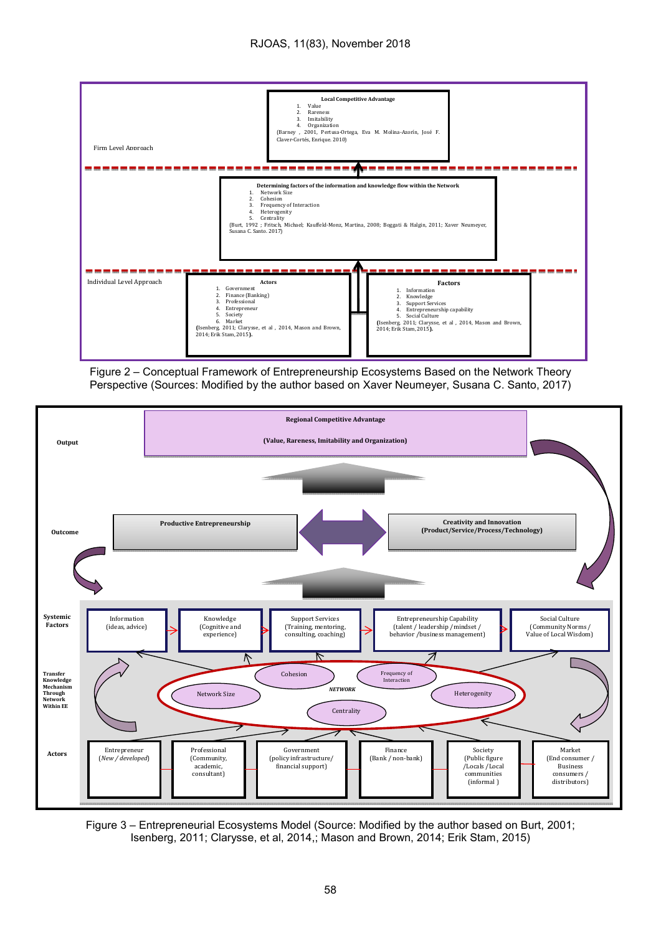

Figure 2 – Conceptual Framework of Entrepreneurship Ecosystems Based on the Network Theory Perspective (Sources: Modified by the author based on Xaver Neumeyer, Susana C. Santo, 2017)



Figure 3 – Entrepreneurial Ecosystems Model (Source: Modified by the author based on Burt, 2001; Isenberg, 2011; Clarysse, et al, 2014,; Mason and Brown, 2014; Erik Stam, 2015)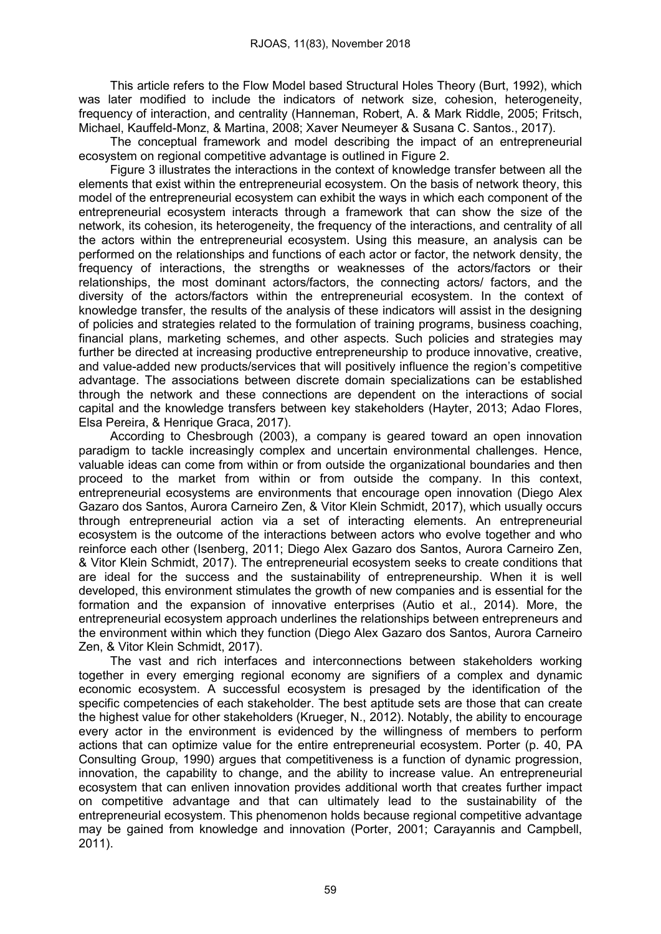This article refers to the Flow Model based Structural Holes Theory (Burt, 1992), which was later modified to include the indicators of network size, cohesion, heterogeneity, frequency of interaction, and centrality (Hanneman, Robert, A. & Mark Riddle, 2005; Fritsch, Michael, Kauffeld-Monz, & Martina, 2008; Xaver Neumeyer & Susana C. Santos., 2017).

The conceptual framework and model describing the impact of an entrepreneurial ecosystem on regional competitive advantage is outlined in Figure 2.

Figure 3 illustrates the interactions in the context of knowledge transfer between all the elements that exist within the entrepreneurial ecosystem. On the basis of network theory, this model of the entrepreneurial ecosystem can exhibit the ways in which each component of the entrepreneurial ecosystem interacts through a framework that can show the size of the network, its cohesion, its heterogeneity, the frequency of the interactions, and centrality of all the actors within the entrepreneurial ecosystem. Using this measure, an analysis can be performed on the relationships and functions of each actor or factor, the network density, the frequency of interactions, the strengths or weaknesses of the actors/factors or their relationships, the most dominant actors/factors, the connecting actors/ factors, and the diversity of the actors/factors within the entrepreneurial ecosystem. In the context of knowledge transfer, the results of the analysis of these indicators will assist in the designing of policies and strategies related to the formulation of training programs, business coaching, financial plans, marketing schemes, and other aspects. Such policies and strategies may further be directed at increasing productive entrepreneurship to produce innovative, creative, and value-added new products/services that will positively influence the region's competitive advantage. The associations between discrete domain specializations can be established through the network and these connections are dependent on the interactions of social capital and the knowledge transfers between key stakeholders (Hayter, 2013; Adao Flores, Elsa Pereira, & Henrique Graca, 2017).

According to Chesbrough (2003), a company is geared toward an open innovation paradigm to tackle increasingly complex and uncertain environmental challenges. Hence, valuable ideas can come from within or from outside the organizational boundaries and then proceed to the market from within or from outside the company. In this context, entrepreneurial ecosystems are environments that encourage open innovation (Diego Alex Gazaro dos Santos, Aurora Carneiro Zen, & Vitor Klein Schmidt, 2017), which usually occurs through entrepreneurial action via a set of interacting elements. An entrepreneurial ecosystem is the outcome of the interactions between actors who evolve together and who reinforce each other (Isenberg, 2011; Diego Alex Gazaro dos Santos, Aurora Carneiro Zen, & Vitor Klein Schmidt, 2017). The entrepreneurial ecosystem seeks to create conditions that are ideal for the success and the sustainability of entrepreneurship. When it is well developed, this environment stimulates the growth of new companies and is essential for the formation and the expansion of innovative enterprises (Autio et al., 2014). More, the entrepreneurial ecosystem approach underlines the relationships between entrepreneurs and the environment within which they function (Diego Alex Gazaro dos Santos, Aurora Carneiro Zen, & Vitor Klein Schmidt, 2017).

The vast and rich interfaces and interconnections between stakeholders working together in every emerging regional economy are signifiers of a complex and dynamic economic ecosystem. A successful ecosystem is presaged by the identification of the specific competencies of each stakeholder. The best aptitude sets are those that can create the highest value for other stakeholders (Krueger, N., 2012). Notably, the ability to encourage every actor in the environment is evidenced by the willingness of members to perform actions that can optimize value for the entire entrepreneurial ecosystem. Porter (p. 40, PA Consulting Group, 1990) argues that competitiveness is a function of dynamic progression, innovation, the capability to change, and the ability to increase value. An entrepreneurial ecosystem that can enliven innovation provides additional worth that creates further impact on competitive advantage and that can ultimately lead to the sustainability of the entrepreneurial ecosystem. This phenomenon holds because regional competitive advantage may be gained from knowledge and innovation (Porter, 2001; Carayannis and Campbell, 2011).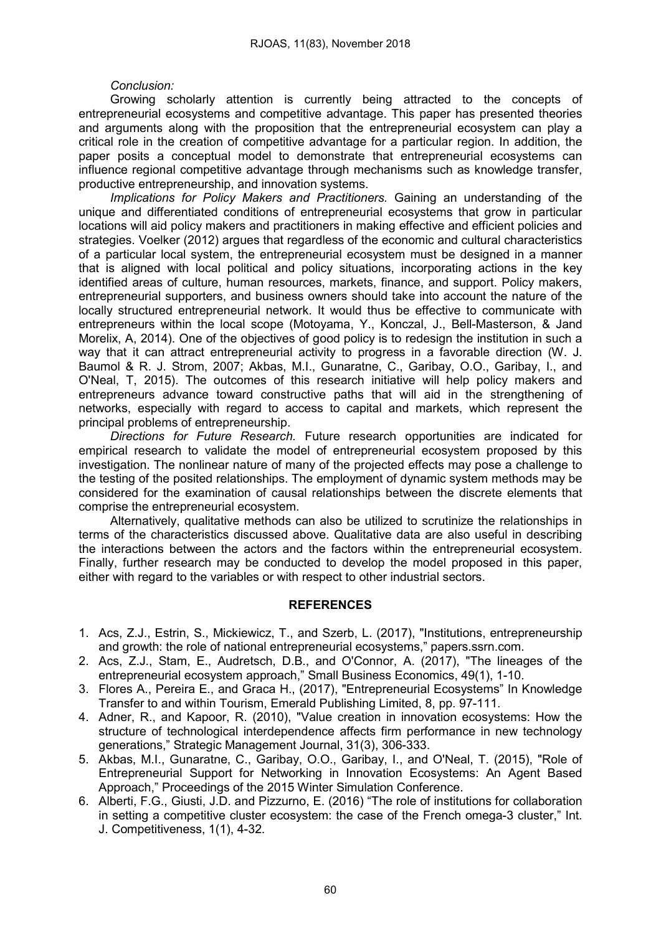# *Conclusion:*

Growing scholarly attention is currently being attracted to the concepts of entrepreneurial ecosystems and competitive advantage. This paper has presented theories and arguments along with the proposition that the entrepreneurial ecosystem can play a critical role in the creation of competitive advantage for a particular region. In addition, the paper posits a conceptual model to demonstrate that entrepreneurial ecosystems can influence regional competitive advantage through mechanisms such as knowledge transfer, productive entrepreneurship, and innovation systems.

*Implications for Policy Makers and Practitioners.* Gaining an understanding of the unique and differentiated conditions of entrepreneurial ecosystems that grow in particular locations will aid policy makers and practitioners in making effective and efficient policies and strategies. Voelker (2012) argues that regardless of the economic and cultural characteristics of a particular local system, the entrepreneurial ecosystem must be designed in a manner that is aligned with local political and policy situations, incorporating actions in the key identified areas of culture, human resources, markets, finance, and support. Policy makers, entrepreneurial supporters, and business owners should take into account the nature of the locally structured entrepreneurial network. It would thus be effective to communicate with entrepreneurs within the local scope (Motoyama, Y., Konczal, J., Bell-Masterson, & Jand Morelix, A, 2014). One of the objectives of good policy is to redesign the institution in such a way that it can attract entrepreneurial activity to progress in a favorable direction (W. J. Baumol & R. J. Strom, 2007; Akbas, M.I., Gunaratne, C., Garibay, O.O., Garibay, I., and O'Neal, T, 2015). The outcomes of this research initiative will help policy makers and entrepreneurs advance toward constructive paths that will aid in the strengthening of networks, especially with regard to access to capital and markets, which represent the principal problems of entrepreneurship.

*Directions for Future Research.* Future research opportunities are indicated for empirical research to validate the model of entrepreneurial ecosystem proposed by this investigation. The nonlinear nature of many of the projected effects may pose a challenge to the testing of the posited relationships. The employment of dynamic system methods may be considered for the examination of causal relationships between the discrete elements that comprise the entrepreneurial ecosystem.

Alternatively, qualitative methods can also be utilized to scrutinize the relationships in terms of the characteristics discussed above. Qualitative data are also useful in describing the interactions between the actors and the factors within the entrepreneurial ecosystem. Finally, further research may be conducted to develop the model proposed in this paper, either with regard to the variables or with respect to other industrial sectors.

#### REFERENCES

- 1. Acs, Z.J., Estrin, S., Mickiewicz, T., and Szerb, L. (2017), "Institutions, entrepreneurship and growth: the role of national entrepreneurial ecosystems," papers.ssrn.com.
- 2. Acs, Z.J., Stam, E., Audretsch, D.B., and O'Connor, A. (2017), "The lineages of the entrepreneurial ecosystem approach," Small Business Economics, 49(1), 1-10.
- 3. Flores A., Pereira E., and Graca H., (2017), "Entrepreneurial Ecosystems" In Knowledge Transfer to and within Tourism, Emerald Publishing Limited, 8, pp. 97-111.
- 4. Adner, R., and Kapoor, R. (2010), "Value creation in innovation ecosystems: How the structure of technological interdependence affects firm performance in new technology generations," Strategic Management Journal, 31(3), 306-333.
- 5. Akbas, M.I., Gunaratne, C., Garibay, O.O., Garibay, I., and O'Neal, T. (2015), "Role of Entrepreneurial Support for Networking in Innovation Ecosystems: An Agent Based Approach," Proceedings of the 2015 Winter Simulation Conference.
- 6. Alberti, F.G., Giusti, J.D. and Pizzurno, E. (2016) "The role of institutions for collaboration in setting a competitive cluster ecosystem: the case of the French omega-3 cluster," Int. J. Competitiveness, 1(1), 4-32.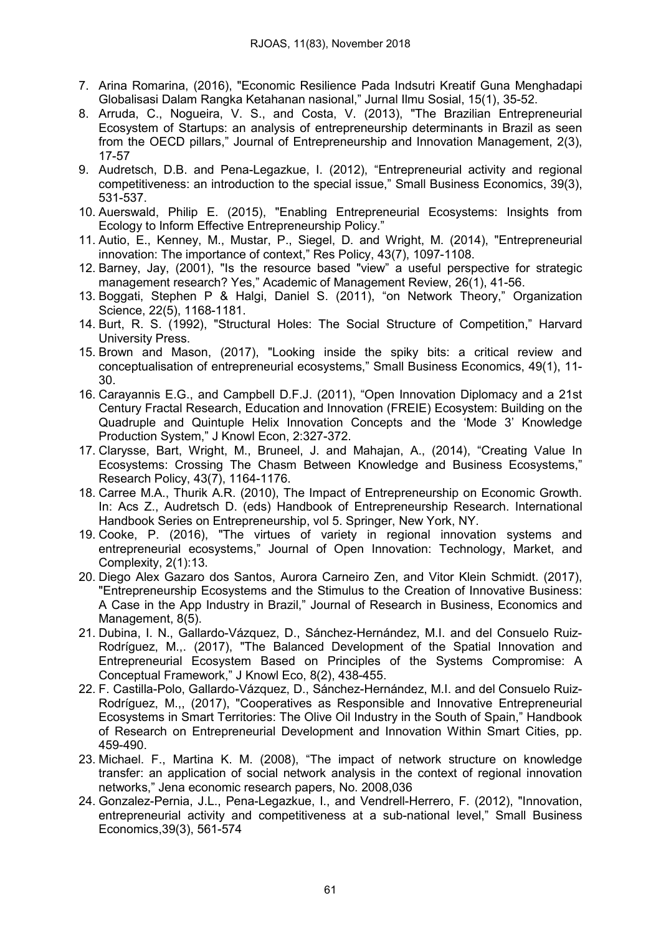- 7. Arina Romarina, (2016), "Economic Resilience Pada Indsutri Kreatif Guna Menghadapi Globalisasi Dalam Rangka Ketahanan nasional," Jurnal Ilmu Sosial, 15(1), 35-52.
- 8. Arruda, C., Nogueira, V. S., and Costa, V. (2013), "The Brazilian Entrepreneurial Ecosystem of Startups: an analysis of entrepreneurship determinants in Brazil as seen from the OECD pillars," Journal of Entrepreneurship and Innovation Management, 2(3), 17-57
- 9. Audretsch, D.B. and Pena-Legazkue, I. (2012), "Entrepreneurial activity and regional competitiveness: an introduction to the special issue," Small Business Economics, 39(3), 531-537.
- 10. Auerswald, Philip E. (2015), "Enabling Entrepreneurial Ecosystems: Insights from Ecology to Inform Effective Entrepreneurship Policy."
- 11. Autio, E., Kenney, M., Mustar, P., Siegel, D. and Wright, M. (2014), "Entrepreneurial innovation: The importance of context," Res Policy, 43(7), 1097-1108.
- 12. Barney, Jay, (2001), "Is the resource based "view" a useful perspective for strategic management research? Yes," Academic of Management Review, 26(1), 41-56.
- 13. Boggati, Stephen P & Halgi, Daniel S. (2011), "on Network Theory," Organization Science, 22(5), 1168-1181.
- 14. Burt, R. S. (1992), "Structural Holes: The Social Structure of Competition," Harvard University Press.
- 15. Brown and Mason, (2017), "Looking inside the spiky bits: a critical review and conceptualisation of entrepreneurial ecosystems," Small Business Economics, 49(1), 11- 30.
- 16. Carayannis E.G., and Campbell D.F.J. (2011), "Open Innovation Diplomacy and a 21st Century Fractal Research, Education and Innovation (FREIE) Ecosystem: Building on the Quadruple and Quintuple Helix Innovation Concepts and the 'Mode 3' Knowledge Production System," J Knowl Econ, 2:327-372.
- 17. Clarysse, Bart, Wright, M., Bruneel, J. and Mahajan, A., (2014), "Creating Value In Ecosystems: Crossing The Chasm Between Knowledge and Business Ecosystems," Research Policy, 43(7), 1164-1176.
- 18. Carree M.A., Thurik A.R. (2010), The Impact of Entrepreneurship on Economic Growth. In: Acs Z., Audretsch D. (eds) Handbook of Entrepreneurship Research. International Handbook Series on Entrepreneurship, vol 5. Springer, New York, NY.
- 19. Cooke, P. (2016), "The virtues of variety in regional innovation systems and entrepreneurial ecosystems," Journal of Open Innovation: Technology, Market, and Complexity, 2(1):13.
- 20. Diego Alex Gazaro dos Santos, Aurora Carneiro Zen, and Vitor Klein Schmidt. (2017), "Entrepreneurship Ecosystems and the Stimulus to the Creation of Innovative Business: A Case in the App Industry in Brazil," Journal of Research in Business, Economics and Management, 8(5).
- 21. Dubina, I. N., Gallardo-Vázquez, D., Sánchez-Hernández, M.I. and del Consuelo Ruiz-Rodríguez, M.,. (2017), "The Balanced Development of the Spatial Innovation and Entrepreneurial Ecosystem Based on Principles of the Systems Compromise: A Conceptual Framework," J Knowl Eco, 8(2), 438-455.
- 22. F. Castilla-Polo, Gallardo-Vázquez, D., Sánchez-Hernández, M.I. and del Consuelo Ruiz-Rodríguez, M.,, (2017), "Cooperatives as Responsible and Innovative Entrepreneurial Ecosystems in Smart Territories: The Olive Oil Industry in the South of Spain," Handbook of Research on Entrepreneurial Development and Innovation Within Smart Cities, pp. 459-490.
- 23. Michael. F., Martina K. M. (2008), "The impact of network structure on knowledge transfer: an application of social network analysis in the context of regional innovation networks," Jena economic research papers, No. 2008,036
- 24. Gonzalez-Pernia, J.L., Pena-Legazkue, I., and Vendrell-Herrero, F. (2012), "Innovation, entrepreneurial activity and competitiveness at a sub-national level," Small Business Economics,39(3), 561-574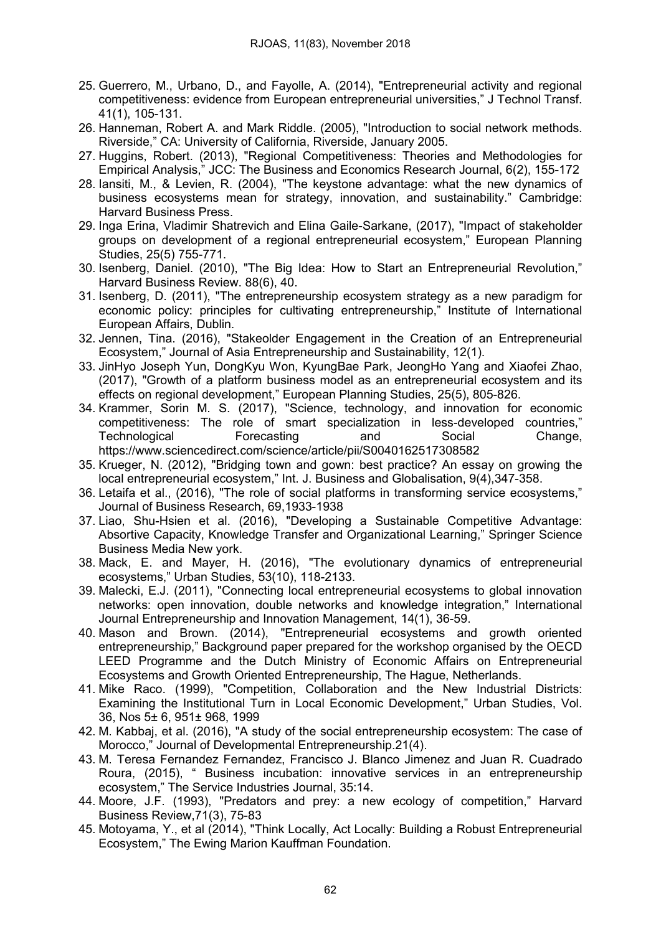- 25. Guerrero, M., Urbano, D., and Fayolle, A. (2014), "Entrepreneurial activity and regional competitiveness: evidence from European entrepreneurial universities," J Technol Transf. 41(1), 105-131.
- 26. Hanneman, Robert A. and Mark Riddle. (2005), "Introduction to social network methods. Riverside," CA: University of California, Riverside, January 2005.
- 27. Huggins, Robert. (2013), "Regional Competitiveness: Theories and Methodologies for Empirical Analysis," JCC: The Business and Economics Research Journal, 6(2), 155-172
- 28. Iansiti, M., & Levien, R. (2004), "The keystone advantage: what the new dynamics of business ecosystems mean for strategy, innovation, and sustainability." Cambridge: Harvard Business Press.
- 29. Inga Erina, Vladimir Shatrevich and Elina Gaile-Sarkane, (2017), "Impact of stakeholder groups on development of a regional entrepreneurial ecosystem," European Planning Studies, 25(5) 755-771.
- 30. Isenberg, Daniel. (2010), "The Big Idea: How to Start an Entrepreneurial Revolution," Harvard Business Review. 88(6), 40.
- 31. Isenberg, D. (2011), "The entrepreneurship ecosystem strategy as a new paradigm for economic policy: principles for cultivating entrepreneurship," Institute of International European Affairs, Dublin.
- 32. Jennen, Tina. (2016), "Stakeolder Engagement in the Creation of an Entrepreneurial Ecosystem," Journal of Asia Entrepreneurship and Sustainability, 12(1).
- 33. JinHyo Joseph Yun, DongKyu Won, KyungBae Park, JeongHo Yang and Xiaofei Zhao, (2017), "Growth of a platform business model as an entrepreneurial ecosystem and its effects on regional development," European Planning Studies, 25(5), 805-826.
- 34. Krammer, Sorin M. S. (2017), "Science, technology, and innovation for economic competitiveness: The role of smart specialization in less-developed countries," Technological Forecasting and Social Change, https://www.sciencedirect.com/science/article/pii/S0040162517308582
- 35. Krueger, N. (2012), "Bridging town and gown: best practice? An essay on growing the local entrepreneurial ecosystem," Int. J. Business and Globalisation, 9(4),347-358.
- 36. Letaifa et al., (2016), "The role of social platforms in transforming service ecosystems," Journal of Business Research, 69,1933-1938
- 37. Liao, Shu-Hsien et al. (2016), "Developing a Sustainable Competitive Advantage: Absortive Capacity, Knowledge Transfer and Organizational Learning," Springer Science Business Media New york.
- 38. Mack, E. and Mayer, H. (2016), "The evolutionary dynamics of entrepreneurial ecosystems," Urban Studies, 53(10), 118-2133.
- 39. Malecki, E.J. (2011), "Connecting local entrepreneurial ecosystems to global innovation networks: open innovation, double networks and knowledge integration," International Journal Entrepreneurship and Innovation Management, 14(1), 36-59.
- 40. Mason and Brown. (2014), "Entrepreneurial ecosystems and growth oriented entrepreneurship," Background paper prepared for the workshop organised by the OECD LEED Programme and the Dutch Ministry of Economic Affairs on Entrepreneurial Ecosystems and Growth Oriented Entrepreneurship, The Hague, Netherlands.
- 41. Mike Raco. (1999), "Competition, Collaboration and the New Industrial Districts: Examining the Institutional Turn in Local Economic Development," Urban Studies, Vol. 36, Nos 5± 6, 951± 968, 1999
- 42. M. Kabbaj, et al. (2016), "A study of the social entrepreneurship ecosystem: The case of Morocco," Journal of Developmental Entrepreneurship.21(4).
- 43. M. Teresa Fernandez Fernandez, Francisco J. Blanco Jimenez and Juan R. Cuadrado Roura, (2015), " Business incubation: innovative services in an entrepreneurship ecosystem," The Service Industries Journal, 35:14.
- 44. Moore, J.F. (1993), "Predators and prey: a new ecology of competition," Harvard Business Review,71(3), 75-83
- 45. Motoyama, Y., et al (2014), "Think Locally, Act Locally: Building a Robust Entrepreneurial Ecosystem," The Ewing Marion Kauffman Foundation.